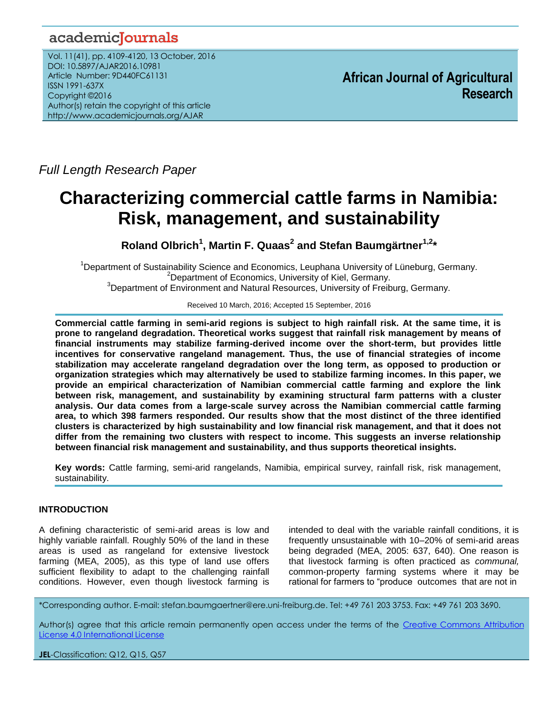## academicJournals

Vol. 11(41), pp. 4109-4120, 13 October, 2016 DOI: 10.5897/AJAR2016.10981 Article Number: 9D440FC61131 ISSN 1991-637X Copyright ©2016 Author(s) retain the copyright of this article http://www.academicjournals.org/AJAR

**African Journal of Agricultural Research**

*Full Length Research Paper*

# **Characterizing commercial cattle farms in Namibia: Risk, management, and sustainability**

**Roland Olbrich<sup>1</sup> , Martin F. Quaas<sup>2</sup> and Stefan Baumgärtner1,2\***

<sup>1</sup>Department of Sustainability Science and Economics, Leuphana University of Lüneburg, Germany. <sup>2</sup>Department of Economics, University of Kiel, Germany. <sup>3</sup>Department of Environment and Natural Resources, University of Freiburg, Germany.

Received 10 March, 2016; Accepted 15 September, 2016

**Commercial cattle farming in semi-arid regions is subject to high rainfall risk. At the same time, it is prone to rangeland degradation. Theoretical works suggest that rainfall risk management by means of financial instruments may stabilize farming-derived income over the short-term, but provides little incentives for conservative rangeland management. Thus, the use of financial strategies of income stabilization may accelerate rangeland degradation over the long term, as opposed to production or organization strategies which may alternatively be used to stabilize farming incomes. In this paper, we provide an empirical characterization of Namibian commercial cattle farming and explore the link between risk, management, and sustainability by examining structural farm patterns with a cluster analysis. Our data comes from a large-scale survey across the Namibian commercial cattle farming area, to which 398 farmers responded. Our results show that the most distinct of the three identified clusters is characterized by high sustainability and low financial risk management, and that it does not differ from the remaining two clusters with respect to income. This suggests an inverse relationship between financial risk management and sustainability, and thus supports theoretical insights.**

**Key words:** Cattle farming, semi-arid rangelands, Namibia, empirical survey, rainfall risk, risk management, sustainability.

## **INTRODUCTION**

A defining characteristic of semi-arid areas is low and highly variable rainfall. Roughly 50% of the land in these areas is used as rangeland for extensive livestock farming (MEA, 2005), as this type of land use offers sufficient flexibility to adapt to the challenging rainfall conditions. However, even though livestock farming is

intended to deal with the variable rainfall conditions, it is frequently unsustainable with 10–20% of semi-arid areas being degraded (MEA, 2005: 637, 640). One reason is that livestock farming is often practiced as *communal,* common-property farming systems where it may be rational for farmers to "produce outcomes that are not in

\*Corresponding author. E-mail: stefan.baumgaertner@ere.uni-freiburg.de. Tel: +49 761 203 3753. Fax: +49 761 203 3690.

Author(s) agree that this article remain permanently open access under the terms of the Creative Commons [Attribution](http://creativecommons.org/licenses/by/4.0/deed.en_US)  License 4.0 [International](http://creativecommons.org/licenses/by/4.0/deed.en_US) License

**JEL**-Classification: Q12, Q15, Q57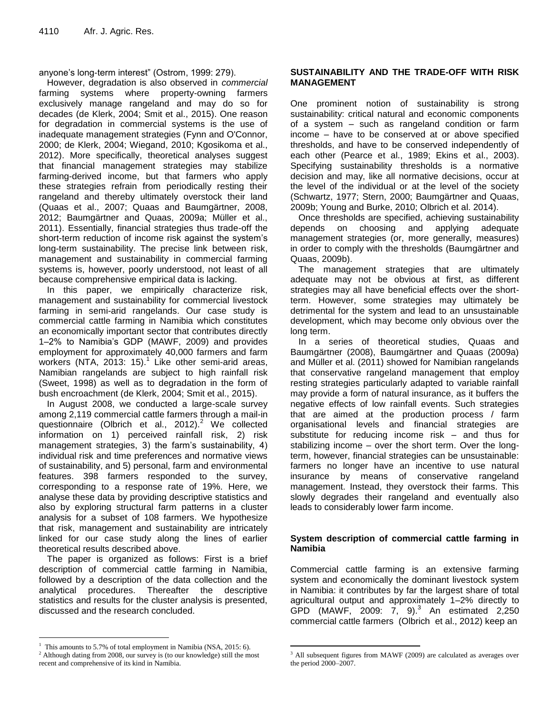anyone's long-term interest" (Ostrom, 1999: 279).

However, degradation is also observed in *commercial* farming systems where property-owning farmers exclusively manage rangeland and may do so for decades (de Klerk, 2004; Smit et al., 2015). One reason for degradation in commercial systems is the use of inadequate management strategies (Fynn and O'Connor, 2000; de Klerk, 2004; Wiegand, 2010; Kgosikoma et al., 2012). More specifically, theoretical analyses suggest that financial management strategies may stabilize farming-derived income, but that farmers who apply these strategies refrain from periodically resting their rangeland and thereby ultimately overstock their land (Quaas et al., 2007; Quaas and Baumgärtner, 2008, 2012; Baumgärtner and Quaas, 2009a; Müller et al., 2011). Essentially, financial strategies thus trade-off the short-term reduction of income risk against the system's long-term sustainability. The precise link between risk, management and sustainability in commercial farming systems is, however, poorly understood, not least of all because comprehensive empirical data is lacking.

In this paper, we empirically characterize risk, management and sustainability for commercial livestock farming in semi-arid rangelands. Our case study is commercial cattle farming in Namibia which constitutes an economically important sector that contributes directly 1–2% to Namibia's GDP (MAWF, 2009) and provides employment for approximately 40,000 farmers and farm workers (NTA, 2013: 15).<sup>1</sup> Like other semi-arid areas, Namibian rangelands are subject to high rainfall risk (Sweet, 1998) as well as to degradation in the form of bush encroachment (de Klerk, 2004; Smit et al., 2015).

In August 2008, we conducted a large-scale survey among 2,119 commercial cattle farmers through a mail-in questionnaire (Olbrich et al., 2012). $^2$  We collected information on 1) perceived rainfall risk, 2) risk management strategies, 3) the farm's sustainability, 4) individual risk and time preferences and normative views of sustainability, and 5) personal, farm and environmental features. 398 farmers responded to the survey, corresponding to a response rate of 19%. Here, we analyse these data by providing descriptive statistics and also by exploring structural farm patterns in a cluster analysis for a subset of 108 farmers. We hypothesize that risk, management and sustainability are intricately linked for our case study along the lines of earlier theoretical results described above.

The paper is organized as follows: First is a brief description of commercial cattle farming in Namibia, followed by a description of the data collection and the analytical procedures. Thereafter the descriptive statistics and results for the cluster analysis is presented, discussed and the research concluded.

 $\overline{a}$ 

## **SUSTAINABILITY AND THE TRADE-OFF WITH RISK MANAGEMENT**

One prominent notion of sustainability is strong sustainability: critical natural and economic components of a system – such as rangeland condition or farm income – have to be conserved at or above specified thresholds, and have to be conserved independently of each other (Pearce et al., 1989; Ekins et al., 2003). Specifying sustainability thresholds is a normative decision and may, like all normative decisions, occur at the level of the individual or at the level of the society (Schwartz, 1977; Stern, 2000; Baumgärtner and Quaas, 2009b; Young and Burke, 2010; Olbrich et al. 2014).

Once thresholds are specified, achieving sustainability depends on choosing and applying adequate management strategies (or, more generally, measures) in order to comply with the thresholds (Baumgärtner and Quaas, 2009b).

The management strategies that are ultimately adequate may not be obvious at first, as different strategies may all have beneficial effects over the shortterm. However, some strategies may ultimately be detrimental for the system and lead to an unsustainable development, which may become only obvious over the long term.

In a series of theoretical studies, Quaas and Baumgärtner (2008), Baumgärtner and Quaas (2009a) and Müller et al. (2011) showed for Namibian rangelands that conservative rangeland management that employ resting strategies particularly adapted to variable rainfall may provide a form of natural insurance, as it buffers the negative effects of low rainfall events. Such strategies that are aimed at the production process / farm organisational levels and financial strategies are substitute for reducing income risk – and thus for stabilizing income – over the short term. Over the longterm, however, financial strategies can be unsustainable: farmers no longer have an incentive to use natural insurance by means of conservative rangeland management. Instead, they overstock their farms. This slowly degrades their rangeland and eventually also leads to considerably lower farm income.

## **System description of commercial cattle farming in Namibia**

Commercial cattle farming is an extensive farming system and economically the dominant livestock system in Namibia: it contributes by far the largest share of total agricultural output and approximately 1–2% directly to  $GPD$  (MAWF, 2009:  $7,9$ ).<sup>3</sup> An estimated 2,250 commercial cattle farmers (Olbrich et al., 2012) keep an

This amounts to 5.7% of total employment in Namibia (NSA, 2015: 6).

<sup>&</sup>lt;sup>2</sup> Although dating from 2008, our survey is (to our knowledge) still the most recent and comprehensive of its kind in Namibia.

 $\overline{a}$ <sup>3</sup> All subsequent figures from MAWF (2009) are calculated as averages over the period 2000–2007.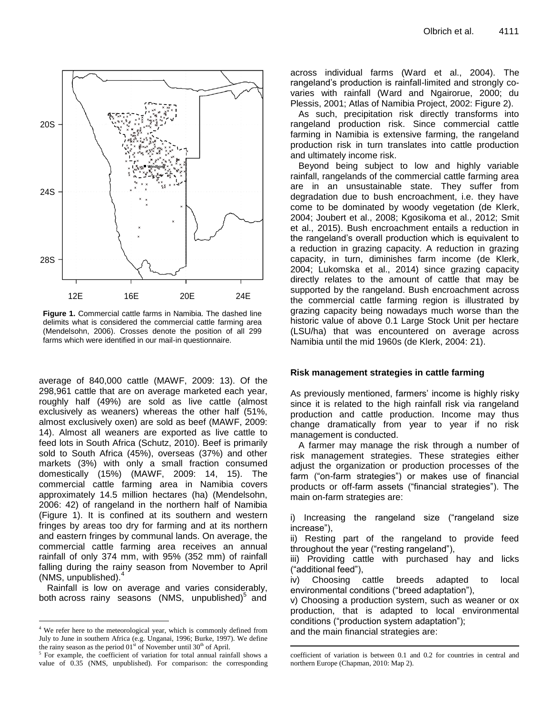

**Figure 1.** Commercial cattle farms in Namibia. The dashed line **delimits** grazing delimits what is considered the commercial cattle farming area (Mendelsohn, 2006). Crosses denote the position of all 299 farms which were identified in our mail-in questionnaire. **Figure 1.** Commercial cattle farms in Namibia. The dashed line which we have in our mail-

average of 840,000 cattle (MAWF, 2009: 13). Of the 298,961 cattle that are on average marketed each year, roughly half (49%) are sold as live cattle (almost exclusively as weaners) whereas the other half (51%, almost exclusively oxen) are sold as beef (MAWF, 2009: 14). Almost all weaners are exported as live cattle to feed lots in South Africa (Schutz, 2010). Beef is primarily sold to South Africa (45%), overseas (37%) and other markets (3%) with only a small fraction consumed domestically (15%) (MAWF, 2009: 14, 15). The commercial cattle farming area in Namibia covers approximately 14.5 million hectares (ha) (Mendelsohn, 2006: 42) of rangeland in the northern half of Namibia (Figure 1). It is confined at its southern and western fringes by areas too dry for farming and at its northern and eastern fringes by communal lands. On average, the commercial cattle farming area receives an annual rainfall of only 374 mm, with 95% (352 mm) of rainfall falling during the rainy season from November to April (NMS, unpublished).<sup>4</sup>

Rainfall is low on average and varies considerably, both across rainy seasons (NMS, unpublished) $<sup>5</sup>$  and</sup>

 $\overline{a}$ 

across individual farms (Ward et al., 2004). The rangeland's production is rainfall-limited and strongly covaries with rainfall (Ward and Ngairorue, 2000; du Plessis, 2001; Atlas of Namibia Project, 2002: Figure 2).

As such, precipitation risk directly transforms into rangeland production risk. Since commercial cattle farming in Namibia is extensive farming, the rangeland production risk in turn translates into cattle production and ultimately income risk.

Beyond being subject to low and highly variable rainfall, rangelands of the commercial cattle farming area are in an unsustainable state. They suffer from degradation due to bush encroachment, i.e. they have come to be dominated by woody vegetation (de Klerk, 2004; Joubert et al., 2008; Kgosikoma et al., 2012; Smit et al., 2015). Bush encroachment entails a reduction in the rangeland's overall production which is equivalent to a reduction in grazing capacity. A reduction in grazing capacity, in turn, diminishes farm income (de Klerk, 2004; Lukomska et al., 2014) since grazing capacity directly relates to the amount of cattle that may be supported by the rangeland. Bush encroachment across the commercial cattle farming region is illustrated by grazing capacity being nowadays much worse than the historic value of above 0.1 Large Stock Unit per hectare (LSU/ha) that was encountered on average across Namibia until the mid 1960s (de Klerk, 2004: 21).

## **Risk management strategies in cattle farming**

As previously mentioned, farmers' income is highly risky since it is related to the high rainfall risk via rangeland production and cattle production. Income may thus change dramatically from year to year if no risk management is conducted.

A farmer may manage the risk through a number of risk management strategies. These strategies either adjust the organization or production processes of the farm ("on-farm strategies") or makes use of financial products or off-farm assets ("financial strategies"). The main on-farm strategies are:

i) Increasing the rangeland size ("rangeland size increase"),

ii) Resting part of the rangeland to provide feed throughout the year ("resting rangeland"),

iii) Providing cattle with purchased hay and licks ("additional feed"),

iv) Choosing cattle breeds adapted to local environmental conditions ("breed adaptation"),

v) Choosing a production system, such as weaner or ox production, that is adapted to local environmental conditions ("production system adaptation"); and the main financial strategies are:

 $\overline{a}$ 

<sup>&</sup>lt;sup>4</sup> We refer here to the meteorological year, which is commonly defined from July to June in southern Africa (e.g. Unganai, 1996; Burke, 1997). We define the rainy season as the period  $01<sup>st</sup>$  of November until  $30<sup>th</sup>$  of April.

<sup>5</sup> For example, the coefficient of variation for total annual rainfall shows a value of 0.35 (NMS, unpublished). For comparison: the corresponding

coefficient of variation is between 0.1 and 0.2 for countries in central and northern Europe (Chapman, 2010: Map 2).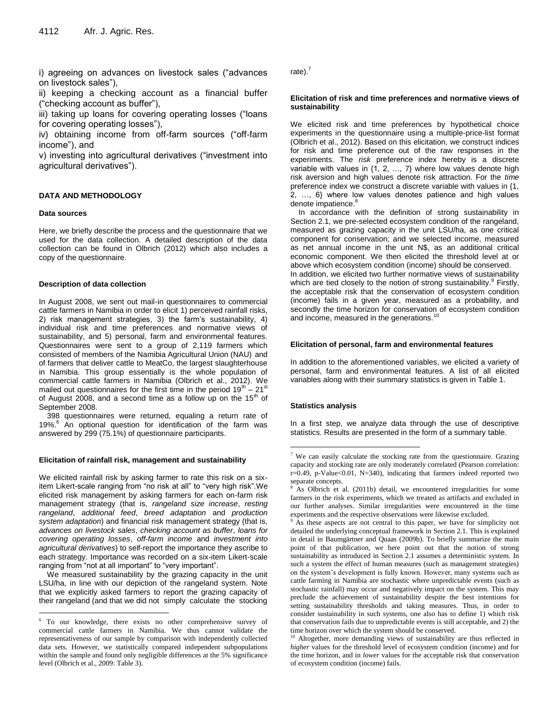i) agreeing on advances on livestock sales ("advances on livestock sales"),

ii) keeping a checking account as a financial buffer ("checking account as buffer"),

iii) taking up loans for covering operating losses ("loans for covering operating losses"),

iv) obtaining income from off-farm sources ("off-farm income"), and

v) investing into agricultural derivatives ("investment into agricultural derivatives").

#### **DATA AND METHODOLOGY**

#### **Data sources**

 $\overline{a}$ 

Here, we briefly describe the process and the questionnaire that we used for the data collection. A detailed description of the data collection can be found in Olbrich (2012) which also includes a copy of the questionnaire.

#### **Description of data collection**

In August 2008, we sent out mail-in questionnaires to commercial cattle farmers in Namibia in order to elicit 1) perceived rainfall risks, 2) risk management strategies, 3) the farm's sustainability, 4) individual risk and time preferences and normative views of sustainability, and 5) personal, farm and environmental features. Questionnaires were sent to a group of 2,119 farmers which consisted of members of the Namibia Agricultural Union (NAU) and of farmers that deliver cattle to MeatCo, the largest slaughterhouse in Namibia. This group essentially is the whole population of commercial cattle farmers in Namibia (Olbrich et al., 2012). We mailed out questionnaires for the first time in the period  $19^{\text{th}} - 21^{\text{st}}$ of August 2008, and a second time as a follow up on the  $15<sup>th</sup>$  of September 2008.

398 questionnaires were returned, equaling a return rate of 19%.<sup>6</sup> An optional question for identification of the farm was answered by 299 (75.1%) of questionnaire participants.

#### **Elicitation of rainfall risk, management and sustainability**

We elicited rainfall risk by asking farmer to rate this risk on a sixitem Likert-scale ranging from "no risk at all" to "very high risk".We elicited risk management by asking farmers for each on-farm risk management strategy (that is, *rangeland size increase*, *resting rangeland*, *additional feed*, *breed adaptation* and *production system adaptation*) and financial risk management strategy (that is, *advances on livestock sales*, *checking account as buffer*, *loans for covering operating losses*, *off-farm income* and *investment into agricultural derivatives*) to self-report the importance they ascribe to each strategy. Importance was recorded on a six-item Likert-scale ranging from "not at all important" to "very important".

We measured sustainability by the grazing capacity in the unit LSU/ha, in line with our depiction of the rangeland system. Note that we explicitly asked farmers to report the grazing capacity of their rangeland (and that we did not simply calculate the stocking

rate). $<sup>7</sup>$ </sup>

#### **Elicitation of risk and time preferences and normative views of sustainability**

We elicited risk and time preferences by hypothetical choice experiments in the questionnaire using a multiple-price-list format (Olbrich et al., 2012). Based on this elicitation, we construct indices for risk and time preference out of the raw responses in the experiments. The *risk* preference index hereby is a discrete variable with values in {1, 2, …, 7} where low values denote high risk aversion and high values denote risk attraction. For the *time* preference index we construct a discrete variable with values in {1, 2, …, 6} where low values denotes patience and high values denote impatience.<sup>8</sup>

In accordance with the definition of strong sustainability in Section 2.1, we pre-selected ecosystem condition of the rangeland, measured as grazing capacity in the unit LSU/ha, as one critical component for conservation; and we selected income, measured as net annual income in the unit N\$, as an additional critical economic component. We then elicited the threshold level at or above which ecosystem condition (income) should be conserved. In addition, we elicited two further normative views of sustainability which are tied closely to the notion of strong sustainability.<sup>9</sup> Firstly, the acceptable risk that the conservation of ecosystem condition (income) fails in a given year, measured as a probability, and secondly the time horizon for conservation of ecosystem condition and income, measured in the generations.<sup>10</sup>

#### **Elicitation of personal, farm and environmental features**

In addition to the aforementioned variables, we elicited a variety of personal, farm and environmental features. A list of all elicited variables along with their summary statistics is given in Table 1.

#### **Statistics analysis**

 $\overline{a}$ 

In a first step, we analyze data through the use of descriptive statistics. Results are presented in the form of a summary table.

<sup>6</sup> To our knowledge, there exists no other comprehensive survey of commercial cattle farmers in Namibia. We thus cannot validate the representativeness of our sample by comparison with independently collected data sets. However, we statistically compared independent subpopulations within the sample and found only negligible differences at the 5% significance level (Olbrich et al., 2009: Table 3).

 $7$  We can easily calculate the stocking rate from the questionnaire. Grazing capacity and stocking rate are only moderately correlated (Pearson correlation:  $r=0.49$ , p-Value<0.01, N=340), indicating that farmers indeed reported two separate concepts.

As Olbrich et al. (2011b) detail, we encountered irregularities for some farmers in the risk experiments, which we treated as artifacts and excluded in our further analyses. Similar irregularities were encountered in the time experiments and the respective observations were likewise excluded.

As these aspects are not central to this paper, we have for simplicity not detailed the underlying conceptual framework in Section 2.1. This is explained in detail in Baumgärtner and Quaas (2009b). To briefly summarize the main point of that publication, we here point out that the notion of strong sustainability as introduced in Section 2.1 assumes a deterministic system. In such a system the effect of human measures (such as management strategies) on the system's development is fully known. However, many systems such as cattle farming in Namibia are stochastic where unpredictable events (such as stochastic rainfall) may occur and negatively impact on the system. This may preclude the achievement of sustainability despite the best intentions for setting sustainability thresholds and taking measures. Thus, in order to consider sustainability in such systems, one also has to define 1) which risk that conservation fails due to unpredictable events is still acceptable, and 2) the time horizon over which the system should be conserved.

<sup>&</sup>lt;sup>10</sup> Altogether, more demanding views of sustainability are thus reflected in *higher* values for the threshold level of ecosystem condition (income) and for the time horizon, and in *lower* values for the acceptable risk that conservation of ecosystem condition (income) fails.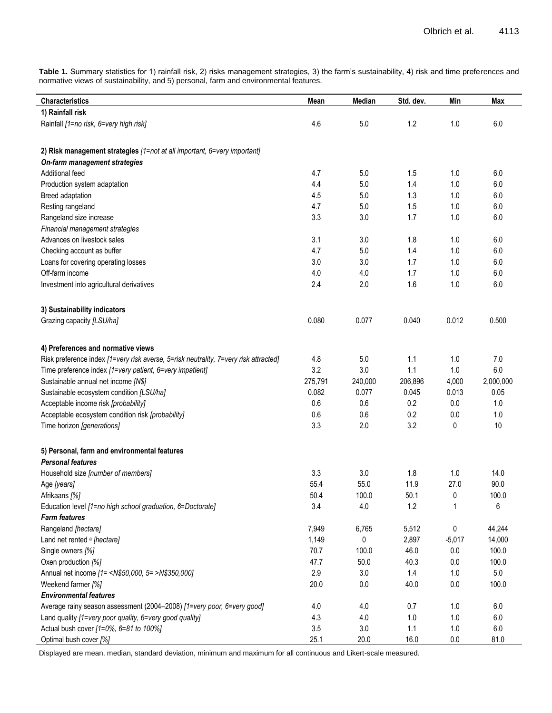**Table 1.** Summary statistics for 1) rainfall risk, 2) risks management strategies, 3) the farm's sustainability, 4) risk and time preferences and normative views of sustainability, and 5) personal, farm and environmental features.

| <b>Characteristics</b>                                                               | Mean    | Median  | Std. dev. | Min       | Max       |
|--------------------------------------------------------------------------------------|---------|---------|-----------|-----------|-----------|
| 1) Rainfall risk                                                                     |         |         |           |           |           |
| Rainfall [1=no risk, 6=very high risk]                                               | 4.6     | 5.0     | 1.2       | 1.0       | 6.0       |
| 2) Risk management strategies [1=not at all important, 6=very important]             |         |         |           |           |           |
| On-farm management strategies                                                        |         |         |           |           |           |
| Additional feed                                                                      | 4.7     | 5.0     | 1.5       | 1.0       | 6.0       |
| Production system adaptation                                                         | 4.4     | 5.0     | 1.4       | 1.0       | 6.0       |
| Breed adaptation                                                                     | 4.5     | 5.0     | 1.3       | 1.0       | 6.0       |
| Resting rangeland                                                                    | 4.7     | 5.0     | 1.5       | 1.0       | 6.0       |
| Rangeland size increase                                                              | 3.3     | 3.0     | 1.7       | 1.0       | 6.0       |
| Financial management strategies                                                      |         |         |           |           |           |
| Advances on livestock sales                                                          | 3.1     | 3.0     | 1.8       | 1.0       | 6.0       |
| Checking account as buffer                                                           | 4.7     | 5.0     | 1.4       | 1.0       | 6.0       |
| Loans for covering operating losses                                                  | 3.0     | 3.0     | 1.7       | 1.0       | 6.0       |
| Off-farm income                                                                      | 4.0     | 4.0     | 1.7       | 1.0       | 6.0       |
| Investment into agricultural derivatives                                             | 2.4     | 2.0     | 1.6       | 1.0       | 6.0       |
|                                                                                      |         |         |           |           |           |
| 3) Sustainability indicators                                                         |         |         |           |           |           |
| Grazing capacity [LSU/ha]                                                            | 0.080   | 0.077   | 0.040     | 0.012     | 0.500     |
| 4) Preferences and normative views                                                   |         |         |           |           |           |
| Risk preference index [1=very risk averse, 5=risk neutrality, 7=very risk attracted] | 4.8     | 5.0     | 1.1       | 1.0       | 7.0       |
| Time preference index [1=very patient, 6=very impatient]                             | 3.2     | 3.0     | 1.1       | 1.0       | 6.0       |
| Sustainable annual net income [N\$]                                                  | 275,791 | 240,000 | 206,896   | 4,000     | 2,000,000 |
| Sustainable ecosystem condition [LSU/ha]                                             | 0.082   | 0.077   | 0.045     | 0.013     | 0.05      |
| Acceptable income risk [probability]                                                 | 0.6     | 0.6     | 0.2       | 0.0       | 1.0       |
| Acceptable ecosystem condition risk [probability]                                    | 0.6     | 0.6     | 0.2       | 0.0       | 1.0       |
| Time horizon [generations]                                                           | 3.3     | 2.0     | 3.2       | 0         | 10        |
|                                                                                      |         |         |           |           |           |
| 5) Personal, farm and environmental features<br><b>Personal features</b>             |         |         |           |           |           |
| Household size [number of members]                                                   | 3.3     | 3.0     | 1.8       | 1.0       | 14.0      |
| Age [years]                                                                          | 55.4    | 55.0    | 11.9      | 27.0      | 90.0      |
| Afrikaans [%]                                                                        | 50.4    | 100.0   | 50.1      | $\pmb{0}$ | 100.0     |
| Education level [1=no high school graduation, 6=Doctorate]                           | 3.4     | 4.0     | 1.2       | 1         | 6         |
| <b>Farm features</b>                                                                 |         |         |           |           |           |
| Rangeland [hectare]                                                                  | 7,949   | 6,765   | 5,512     | 0         | 44,244    |
| Land net rented <sup>a</sup> [hectare]                                               | 1,149   | 0       | 2,897     | $-5,017$  | 14,000    |
| Single owners [%]                                                                    | 70.7    | 100.0   | 46.0      | 0.0       | 100.0     |
| Oxen production [%]                                                                  | 47.7    | 50.0    | 40.3      | 0.0       | 100.0     |
| Annual net income [1 = < N\$50,000, 5 = > N\$350,000]                                | 2.9     | 3.0     | 1.4       | 1.0       | 5.0       |
| Weekend farmer [%]                                                                   | 20.0    | 0.0     | 40.0      | $0.0\,$   | 100.0     |
| <b>Environmental features</b>                                                        |         |         |           |           |           |
| Average rainy season assessment (2004-2008) [1=very poor, 6=very good]               | 4.0     | 4.0     | 0.7       | 1.0       | 6.0       |
| Land quality [1=very poor quality, 6=very good quality]                              | 4.3     | 4.0     | 1.0       | 1.0       | 6.0       |
| Actual bush cover [1=0%, 6=81 to 100%]                                               | 3.5     | 3.0     | 1.1       | 1.0       | $6.0\,$   |
| Optimal bush cover [%]                                                               | 25.1    | 20.0    | 16.0      | 0.0       | 81.0      |

Displayed are mean, median, standard deviation, minimum and maximum for all continuous and Likert-scale measured.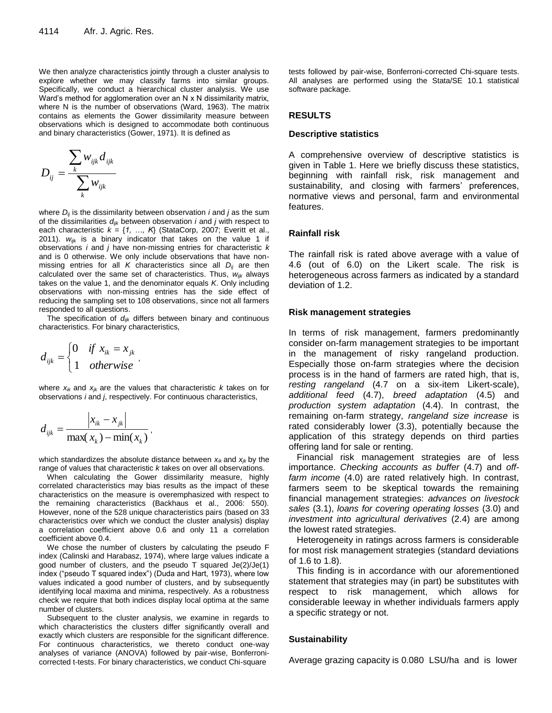We then analyze characteristics jointly through a cluster analysis to explore whether we may classify farms into similar groups. Specifically, we conduct a hierarchical cluster analysis. We use Ward's method for agglomeration over an N x N dissimilarity matrix, where N is the number of observations (Ward, 1963). The matrix contains as elements the Gower dissimilarity measure between observations which is designed to accommodate both continuous and binary characteristics (Gower, 1971). It is defined as

$$
D_{ij} = \frac{\sum_{k} w_{ijk} d_{ijk}}{\sum_{k} w_{ijk}}
$$

where *Dij* is the dissimilarity between observation *i* and *j* as the sum of the dissimilarities *dijk* between observation *i* and *j* with respect to each characteristic  $k = \{1, ..., K\}$  (StataCorp, 2007; Everitt et al., 2011). *wijk* is a binary indicator that takes on the value 1 if observations *i* and *j* have non-missing entries for characteristic *k* and is 0 otherwise. We only include observations that have nonmissing entries for all *K* characteristics since all  $D_{ij}$  are then calculated over the same set of characteristics. Thus, *wijk* always takes on the value 1, and the denominator equals *K*. Only including observations with non-missing entries has the side effect of reducing the sampling set to 108 observations, since not all farmers responded to all questions.

The specification of *dijk* differs between binary and continuous characteristics. For binary characteristics,

$$
d_{ijk} = \begin{cases} 0 & \text{if } x_{ik} = x_{jk} \\ 1 & \text{otherwise} \end{cases}
$$

where  $x_{ik}$  and  $x_{ik}$  are the values that characteristic *k* takes on for observations *i* and *j*, respectively. For continuous characteristics,

$$
d_{ijk} = \frac{\left|x_{ik} - x_{jk}\right|}{\max(x_k) - \min(x_k)},
$$

which standardizes the absolute distance between *xik* and *xjk* by the range of values that characteristic *k* takes on over all observations.

When calculating the Gower dissimilarity measure, highly correlated characteristics may bias results as the impact of these characteristics on the measure is overemphasized with respect to the remaining characteristics (Backhaus et al., 2006: 550). However, none of the 528 unique characteristics pairs (based on 33 characteristics over which we conduct the cluster analysis) display a correlation coefficient above 0.6 and only 11 a correlation coefficient above 0.4.

We chose the number of clusters by calculating the pseudo F index (Calinski and Harabasz, 1974), where large values indicate a good number of clusters, and the pseudo T squared Je(2)/Je(1) index ("pseudo T squared index") (Duda and Hart, 1973), where low values indicated a good number of clusters, and by subsequently identifying local maxima and minima, respectively. As a robustness check we require that both indices display local optima at the same number of clusters.

Subsequent to the cluster analysis, we examine in regards to which characteristics the clusters differ significantly overall and exactly which clusters are responsible for the significant difference. For continuous characteristics, we thereto conduct one-way analyses of variance (ANOVA) followed by pair-wise, Bonferronicorrected t-tests. For binary characteristics, we conduct Chi-square

tests followed by pair-wise, Bonferroni-corrected Chi-square tests. All analyses are performed using the Stata/SE 10.1 statistical software package.

#### **RESULTS**

#### **Descriptive statistics**

A comprehensive overview of descriptive statistics is given in Table 1. Here we briefly discuss these statistics, beginning with rainfall risk, risk management and sustainability, and closing with farmers' preferences, normative views and personal, farm and environmental features.

### **Rainfall risk**

The rainfall risk is rated above average with a value of 4.6 (out of 6.0) on the Likert scale. The risk is heterogeneous across farmers as indicated by a standard deviation of 1.2.

#### **Risk management strategies**

In terms of risk management, farmers predominantly consider on-farm management strategies to be important in the management of risky rangeland production. Especially those on-farm strategies where the decision process is in the hand of farmers are rated high, that is, *resting rangeland* (4.7 on a six-item Likert-scale), *additional feed* (4.7), *breed adaptation* (4.5) and *production system adaptation* (4.4). In contrast, the remaining on-farm strategy, *rangeland size increase* is rated considerably lower (3.3), potentially because the application of this strategy depends on third parties offering land for sale or renting.

Financial risk management strategies are of less importance. *Checking accounts as buffer* (4.7) and *offfarm income* (4.0) are rated relatively high. In contrast, farmers seem to be skeptical towards the remaining financial management strategies: *advances on livestock sales* (3.1), *loans for covering operating losses* (3.0) and *investment into agricultural derivatives* (2.4) are among the lowest rated strategies.

Heterogeneity in ratings across farmers is considerable for most risk management strategies (standard deviations of 1.6 to 1.8).

This finding is in accordance with our aforementioned statement that strategies may (in part) be substitutes with respect to risk management, which allows for considerable leeway in whether individuals farmers apply a specific strategy or not.

#### **Sustainability**

Average grazing capacity is 0.080 LSU/ha and is lower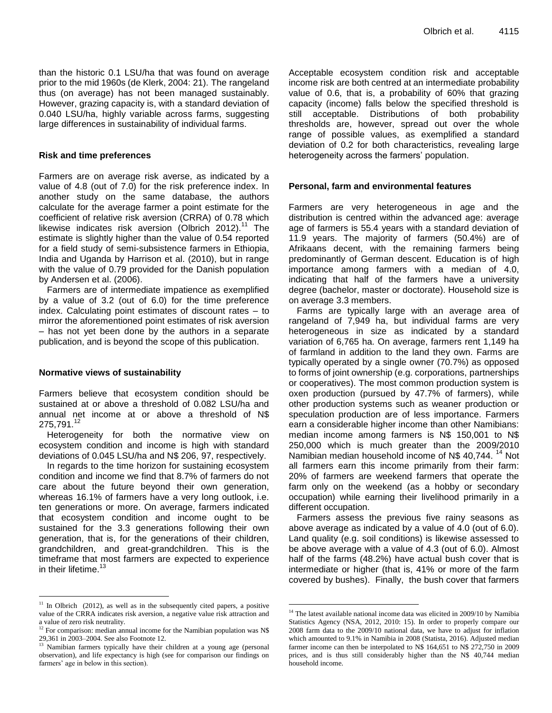than the historic 0.1 LSU/ha that was found on average prior to the mid 1960s (de Klerk, 2004: 21). The rangeland thus (on average) has not been managed sustainably. However, grazing capacity is, with a standard deviation of 0.040 LSU/ha, highly variable across farms, suggesting large differences in sustainability of individual farms.

#### **Risk and time preferences**

Farmers are on average risk averse, as indicated by a value of 4.8 (out of 7.0) for the risk preference index. In another study on the same database, the authors calculate for the average farmer a point estimate for the coefficient of relative risk aversion (CRRA) of 0.78 which likewise indicates risk aversion (Olbrich 2012).<sup>11</sup> The estimate is slightly higher than the value of 0.54 reported for a field study of semi-subsistence farmers in Ethiopia, India and Uganda by Harrison et al. (2010), but in range with the value of 0.79 provided for the Danish population by Andersen et al. (2006).

Farmers are of intermediate impatience as exemplified by a value of 3.2 (out of 6.0) for the time preference index. Calculating point estimates of discount rates – to mirror the aforementioned point estimates of risk aversion – has not yet been done by the authors in a separate publication, and is beyond the scope of this publication.

#### **Normative views of sustainability**

 $\overline{a}$ 

Farmers believe that ecosystem condition should be sustained at or above a threshold of 0.082 LSU/ha and annual net income at or above a threshold of N\$ 275.791.<sup>12</sup>

Heterogeneity for both the normative view on ecosystem condition and income is high with standard deviations of 0.045 LSU/ha and N\$ 206, 97, respectively.

In regards to the time horizon for sustaining ecosystem condition and income we find that 8.7% of farmers do not care about the future beyond their own generation, whereas 16.1% of farmers have a very long outlook, i.e. ten generations or more. On average, farmers indicated that ecosystem condition and income ought to be sustained for the 3.3 generations following their own generation, that is, for the generations of their children, grandchildren, and great-grandchildren. This is the timeframe that most farmers are expected to experience in their lifetime. $13$ 

Acceptable ecosystem condition risk and acceptable income risk are both centred at an intermediate probability value of 0.6, that is, a probability of 60% that grazing capacity (income) falls below the specified threshold is still acceptable. Distributions of both probability thresholds are, however, spread out over the whole range of possible values, as exemplified a standard deviation of 0.2 for both characteristics, revealing large heterogeneity across the farmers' population.

## **Personal, farm and environmental features**

Farmers are very heterogeneous in age and the distribution is centred within the advanced age: average age of farmers is 55.4 years with a standard deviation of 11.9 years. The majority of farmers (50.4%) are of Afrikaans decent, with the remaining farmers being predominantly of German descent. Education is of high importance among farmers with a median of 4.0, indicating that half of the farmers have a university degree (bachelor, master or doctorate). Household size is on average 3.3 members.

Farms are typically large with an average area of rangeland of 7,949 ha, but individual farms are very heterogeneous in size as indicated by a standard variation of 6,765 ha. On average, farmers rent 1,149 ha of farmland in addition to the land they own. Farms are typically operated by a single owner (70.7%) as opposed to forms of joint ownership (e.g. corporations, partnerships or cooperatives). The most common production system is oxen production (pursued by 47.7% of farmers), while other production systems such as weaner production or speculation production are of less importance. Farmers earn a considerable higher income than other Namibians: median income among farmers is N\$ 150,001 to N\$ 250,000 which is much greater than the 2009/2010 Namibian median household income of N\$ 40,744.<sup>14</sup> Not all farmers earn this income primarily from their farm: 20% of farmers are weekend farmers that operate the farm only on the weekend (as a hobby or secondary occupation) while earning their livelihood primarily in a different occupation.

Farmers assess the previous five rainy seasons as above average as indicated by a value of 4.0 (out of 6.0). Land quality (e.g. soil conditions) is likewise assessed to be above average with a value of 4.3 (out of 6.0). Almost half of the farms (48.2%) have actual bush cover that is intermediate or higher (that is, 41% or more of the farm covered by bushes). Finally, the bush cover that farmers

 $\overline{a}$ 

 $11$  In Olbrich (2012), as well as in the subsequently cited papers, a positive value of the CRRA indicates risk aversion, a negative value risk attraction and a value of zero risk neutrality.

 $12$  For comparison: median annual income for the Namibian population was N\$ 29,361 in 2003–2004. See also Footnote 12.

<sup>&</sup>lt;sup>13</sup> Namibian farmers typically have their children at a young age (personal observation), and life expectancy is high (see for comparison our findings on farmers' age in below in this section).

 $^{14}$  The latest available national income data was elicited in 2009/10 by Namibia Statistics Agency (NSA, 2012, 2010: 15). In order to properly compare our 2008 farm data to the 2009/10 national data, we have to adjust for inflation which amounted to 9.1% in Namibia in 2008 (Statista, 2016). Adjusted median farmer income can then be interpolated to N\$ 164,651 to N\$ 272,750 in 2009 prices, and is thus still considerably higher than the N\$ 40,744 median household income.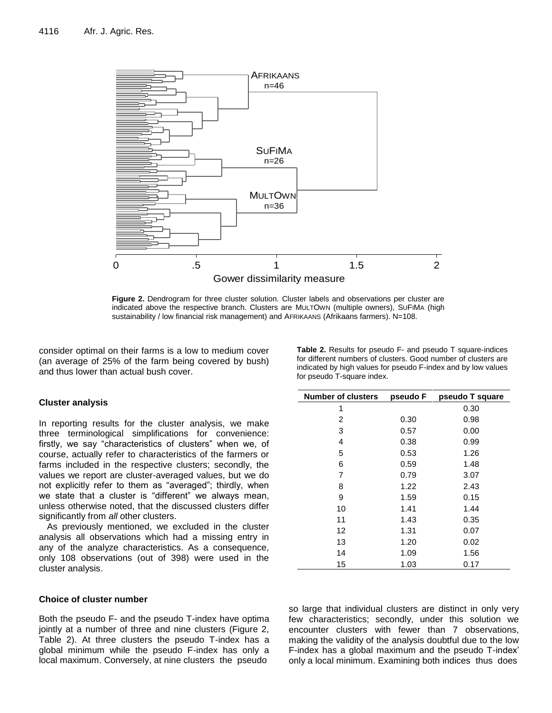

**Figure 2.** Dendrogram for three cluster solution. Cluster labels and observations per cluster are indicated above the respective branch. Clusters are MULTOWN (multiple owners), SUFIMA (high sustainability / low financial risk management) and AFRIKAANS (Afrikaans farmers). N=108.

consider optimal on their farms is a low to medium cover (an average of 25% of the farm being covered by bush) and thus lower than actual bush cover.

#### **Cluster analysis**

In reporting results for the cluster analysis, we make three terminological simplifications for convenience: firstly, we say "characteristics of clusters" when we, of course, actually refer to characteristics of the farmers or farms included in the respective clusters; secondly, the values we report are cluster-averaged values, but we do not explicitly refer to them as "averaged"; thirdly, when we state that a cluster is "different" we always mean, unless otherwise noted, that the discussed clusters differ significantly from *all* other clusters.

As previously mentioned, we excluded in the cluster analysis all observations which had a missing entry in any of the analyze characteristics. As a consequence, only 108 observations (out of 398) were used in the cluster analysis.

#### **Choice of cluster number**

Both the pseudo F- and the pseudo T-index have optima jointly at a number of three and nine clusters (Figure 2, Table 2). At three clusters the pseudo T-index has a global minimum while the pseudo F-index has only a local maximum. Conversely, at nine clusters the pseudo

| <b>Number of clusters</b> | pseudo F | pseudo T square |
|---------------------------|----------|-----------------|
| 1                         |          | 0.30            |
| 2                         | 0.30     | 0.98            |
| 3                         | 0.57     | 0.00            |
| 4                         | 0.38     | 0.99            |
| 5                         | 0.53     | 1.26            |
| 6                         | 0.59     | 1.48            |
| 7                         | 0.79     | 3.07            |
| 8                         | 1.22     | 2.43            |
| 9                         | 1.59     | 0.15            |
| 10                        | 1.41     | 1.44            |
| 11                        | 1.43     | 0.35            |
| 12                        | 1.31     | 0.07            |
| 13                        | 1.20     | 0.02            |
| 14                        | 1.09     | 1.56            |
| 15                        | 1.03     | 0.17            |

so large that individual clusters are distinct in only very few characteristics; secondly, under this solution we encounter clusters with fewer than 7 observations, making the validity of the analysis doubtful due to the low F-index has a global maximum and the pseudo T-index' only a local minimum. Examining both indices thus does

**Table 2.** Results for pseudo F- and pseudo T square-indices for different numbers of clusters. Good number of clusters are indicated by high values for pseudo F-index and by low values for pseudo T-square index.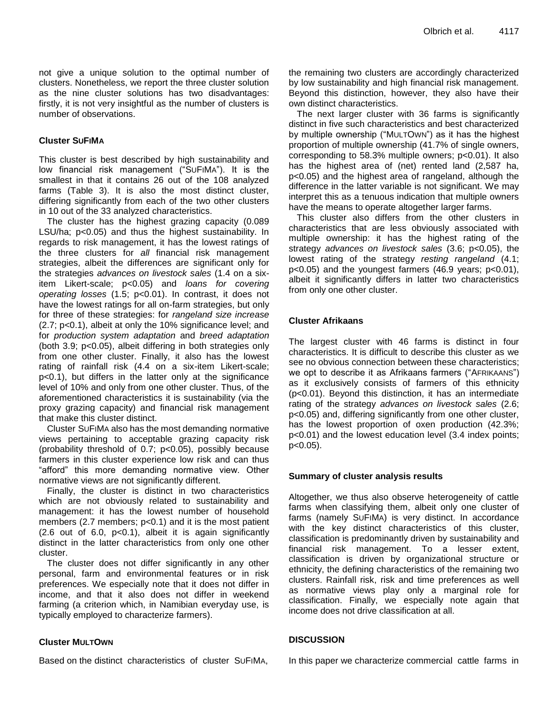not give a unique solution to the optimal number of clusters. Nonetheless, we report the three cluster solution as the nine cluster solutions has two disadvantages: firstly, it is not very insightful as the number of clusters is number of observations.

## **Cluster SUFIMA**

This cluster is best described by high sustainability and low financial risk management ("SUFIMA"). It is the smallest in that it contains 26 out of the 108 analyzed farms (Table 3). It is also the most distinct cluster, differing significantly from each of the two other clusters in 10 out of the 33 analyzed characteristics.

The cluster has the highest grazing capacity (0.089 LSU/ha; p<0.05) and thus the highest sustainability. In regards to risk management, it has the lowest ratings of the three clusters for *all* financial risk management strategies, albeit the differences are significant only for the strategies *advances on livestock sales* (1.4 on a sixitem Likert-scale; p<0.05) and *loans for covering operating losses* (1.5; p<0.01). In contrast, it does not have the lowest ratings for all on-farm strategies, but only for three of these strategies: for *rangeland size increase* (2.7; p<0.1), albeit at only the 10% significance level; and for *production system adaptation* and *breed adaptation* (both 3.9; p<0.05), albeit differing in both strategies only from one other cluster. Finally, it also has the lowest rating of rainfall risk (4.4 on a six-item Likert-scale; p<0.1), but differs in the latter only at the significance level of 10% and only from one other cluster. Thus, of the aforementioned characteristics it is sustainability (via the proxy grazing capacity) and financial risk management that make this cluster distinct.

Cluster SUFIMA also has the most demanding normative views pertaining to acceptable grazing capacity risk (probability threshold of 0.7; p<0.05), possibly because farmers in this cluster experience low risk and can thus "afford" this more demanding normative view. Other normative views are not significantly different.

Finally, the cluster is distinct in two characteristics which are not obviously related to sustainability and management: it has the lowest number of household members  $(2.7$  members;  $p<0.1$ ) and it is the most patient  $(2.6 \text{ out of } 6.0, \text{ p} < 0.1)$ , albeit it is again significantly distinct in the latter characteristics from only one other cluster.

The cluster does not differ significantly in any other personal, farm and environmental features or in risk preferences. We especially note that it does not differ in income, and that it also does not differ in weekend farming (a criterion which, in Namibian everyday use, is typically employed to characterize farmers).

## **Cluster MULTOWN**

Based on the distinct characteristics of cluster SUFIMA,

the remaining two clusters are accordingly characterized by low sustainability and high financial risk management. Beyond this distinction, however, they also have their own distinct characteristics.

The next larger cluster with 36 farms is significantly distinct in five such characteristics and best characterized by multiple ownership ("MULTOWN") as it has the highest proportion of multiple ownership (41.7% of single owners, corresponding to 58.3% multiple owners; p<0.01). It also has the highest area of (net) rented land (2,587 ha, p<0.05) and the highest area of rangeland, although the difference in the latter variable is not significant. We may interpret this as a tenuous indication that multiple owners have the means to operate altogether larger farms.

This cluster also differs from the other clusters in characteristics that are less obviously associated with multiple ownership: it has the highest rating of the strategy *advances on livestock sales* (3.6; p<0.05), the lowest rating of the strategy *resting rangeland* (4.1; p<0.05) and the youngest farmers (46.9 years; p<0.01), albeit it significantly differs in latter two characteristics from only one other cluster.

## **Cluster Afrikaans**

The largest cluster with 46 farms is distinct in four characteristics. It is difficult to describe this cluster as we see no obvious connection between these characteristics; we opt to describe it as Afrikaans farmers ("AFRIKAANS") as it exclusively consists of farmers of this ethnicity (p<0.01). Beyond this distinction, it has an intermediate rating of the strategy *advances on livestock sales* (2.6; p<0.05) and, differing significantly from one other cluster, has the lowest proportion of oxen production (42.3%; p<0.01) and the lowest education level (3.4 index points; p<0.05).

## **Summary of cluster analysis results**

Altogether, we thus also observe heterogeneity of cattle farms when classifying them, albeit only one cluster of farms (namely SUFIMA) is very distinct. In accordance with the key distinct characteristics of this cluster, classification is predominantly driven by sustainability and financial risk management. To a lesser extent, classification is driven by organizational structure or ethnicity, the defining characteristics of the remaining two clusters. Rainfall risk, risk and time preferences as well as normative views play only a marginal role for classification. Finally, we especially note again that income does not drive classification at all.

## **DISCUSSION**

In this paper we characterize commercial cattle farms in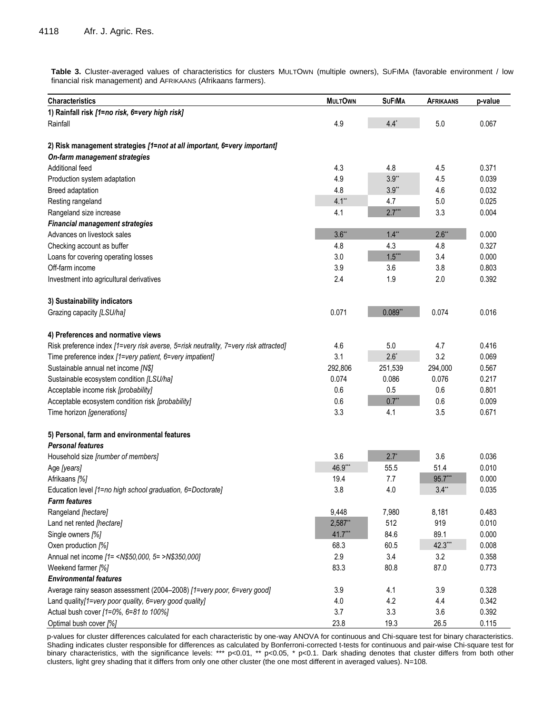**Table 3.** Cluster-averaged values of characteristics for clusters MULTOWN (multiple owners), SUFIMA (favorable environment / low financial risk management) and AFRIKAANS (Afrikaans farmers).

| <b>Characteristics</b>                                                               | <b>MULTOWN</b> | <b>SUFIMA</b> | <b>AFRIKAANS</b> | p-value |
|--------------------------------------------------------------------------------------|----------------|---------------|------------------|---------|
| 1) Rainfall risk [1=no risk, 6=very high risk]                                       |                |               |                  |         |
| Rainfall                                                                             | 4.9            | $4.4^*$       | 5.0              | 0.067   |
| 2) Risk management strategies [1=not at all important, 6=very important]             |                |               |                  |         |
| On-farm management strategies                                                        |                |               |                  |         |
| Additional feed                                                                      | 4.3            | 4.8           | 4.5              | 0.371   |
| Production system adaptation                                                         | 4.9            | $3.9**$       | 4.5              | 0.039   |
| Breed adaptation                                                                     | 4.8            | $3.9**$       | 4.6              | 0.032   |
| Resting rangeland                                                                    | $4.1***$       | 4.7           | 5.0              | 0.025   |
| Rangeland size increase                                                              | 4.1            | $2.7***$      | 3.3              | 0.004   |
| <b>Financial management strategies</b>                                               |                |               |                  |         |
| Advances on livestock sales                                                          | $3.6***$       | $1.4**$       | $2.6***$         | 0.000   |
| Checking account as buffer                                                           | 4.8            | 4.3           | 4.8              | 0.327   |
| Loans for covering operating losses                                                  | 3.0            | $1.5***$      | 3.4              | 0.000   |
| Off-farm income                                                                      | 3.9            | 3.6           | 3.8              | 0.803   |
| Investment into agricultural derivatives                                             | 2.4            | 1.9           | 2.0              | 0.392   |
| 3) Sustainability indicators                                                         |                |               |                  |         |
| Grazing capacity [LSU/ha]                                                            | 0.071          | $0.089**$     | 0.074            | 0.016   |
| 4) Preferences and normative views                                                   |                |               |                  |         |
| Risk preference index [1=very risk averse, 5=risk neutrality, 7=very risk attracted] | 4.6            | 5.0           | 4.7              | 0.416   |
| Time preference index [1=very patient, 6=very impatient]                             | 3.1            | $2.6*$        | 3.2              | 0.069   |
| Sustainable annual net income [N\$]                                                  | 292,806        | 251,539       | 294,000          | 0.567   |
| Sustainable ecosystem condition [LSU/ha]                                             | 0.074          | 0.086         | 0.076            | 0.217   |
| Acceptable income risk [probability]                                                 | 0.6            | 0.5           | 0.6              | 0.801   |
| Acceptable ecosystem condition risk [probability]                                    | 0.6            | $0.7**$       | 0.6              | 0.009   |
| Time horizon [generations]                                                           | 3.3            | 4.1           | 3.5              | 0.671   |
| 5) Personal, farm and environmental features                                         |                |               |                  |         |
| <b>Personal features</b>                                                             |                |               |                  |         |
| Household size [number of members]                                                   | 3.6            | $2.7^*$       | 3.6              | 0.036   |
| Age [years]                                                                          | 46.9***        | 55.5          | 51.4             | 0.010   |
| Afrikaans [%]                                                                        | 19.4           | 7.7           | 95.7***          | 0.000   |
| Education level [1=no high school graduation, 6=Doctorate]                           | 3.8            | 4.0           | $3.4**$          | 0.035   |
| <b>Farm features</b>                                                                 |                |               |                  |         |
| Rangeland [hectare]                                                                  | 9,448          | 7,980         | 8,181            | 0.483   |
| Land net rented [hectare]                                                            | 2,587**        | 512           | 919              | 0.010   |
| Single owners [%]                                                                    | $41.7***$      | 84.6          | 89.1             | 0.000   |
| Oxen production [%]                                                                  | 68.3           | 60.5          | 42.3***          | 0.008   |
| Annual net income [1 = < N\$50,000, 5 = > N\$350,000]                                | 2.9            | 3.4           | 3.2              | 0.358   |
| Weekend farmer [%]                                                                   | 83.3           | 80.8          | 87.0             | 0.773   |
| <b>Environmental features</b>                                                        |                |               |                  |         |
| Average rainy season assessment (2004-2008) [1=very poor, 6=very good]               | 3.9            | 4.1           | 3.9              | 0.328   |
| Land quality[1=very poor quality, 6=very good quality]                               | 4.0            | 4.2           | 4.4              | 0.342   |
| Actual bush cover [1=0%, 6=81 to 100%]                                               | 3.7            | 3.3           | 3.6              | 0.392   |
| Optimal bush cover [%]                                                               | 23.8           | 19.3          | 26.5             | 0.115   |

p-values for cluster differences calculated for each characteristic by one-way ANOVA for continuous and Chi-square test for binary characteristics. Shading indicates cluster responsible for differences as calculated by Bonferroni-corrected t-tests for continuous and pair-wise Chi-square test for binary characteristics, with the significance levels: \*\*\* p<0.01, \*\* p<0.05, \* p<0.1. Dark shading denotes that cluster differs from both other clusters, light grey shading that it differs from only one other cluster (the one most different in averaged values). N=108.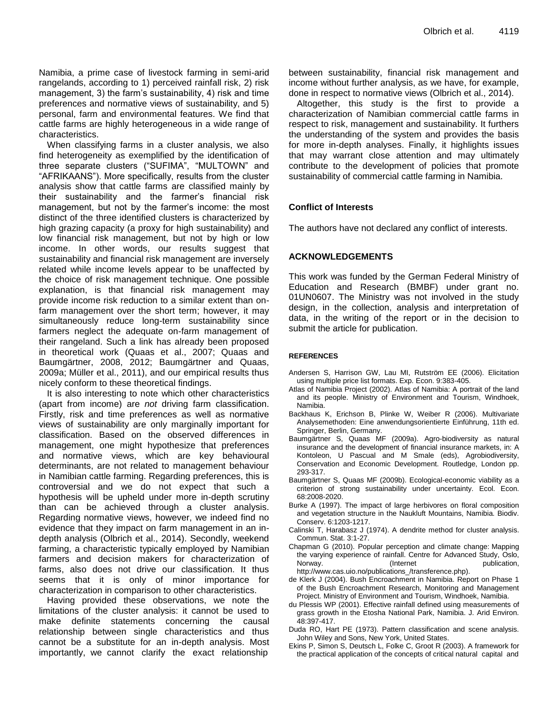Namibia, a prime case of livestock farming in semi-arid rangelands, according to 1) perceived rainfall risk, 2) risk management, 3) the farm's sustainability, 4) risk and time preferences and normative views of sustainability, and 5) personal, farm and environmental features. We find that cattle farms are highly heterogeneous in a wide range of characteristics.

When classifying farms in a cluster analysis, we also find heterogeneity as exemplified by the identification of three separate clusters ("SUFIMA", "MULTOWN" and "AFRIKAANS"). More specifically, results from the cluster analysis show that cattle farms are classified mainly by their sustainability and the farmer's financial risk management, but not by the farmer's income: the most distinct of the three identified clusters is characterized by high grazing capacity (a proxy for high sustainability) and low financial risk management, but not by high or low income. In other words, our results suggest that sustainability and financial risk management are inversely related while income levels appear to be unaffected by the choice of risk management technique. One possible explanation, is that financial risk management may provide income risk reduction to a similar extent than onfarm management over the short term; however, it may simultaneously reduce long-term sustainability since farmers neglect the adequate on-farm management of their rangeland. Such a link has already been proposed in theoretical work (Quaas et al., 2007; Quaas and Baumgärtner, 2008, 2012; Baumgärtner and Quaas, 2009a; Müller et al., 2011), and our empirical results thus nicely conform to these theoretical findings.

It is also interesting to note which other characteristics (apart from income) are *not* driving farm classification. Firstly, risk and time preferences as well as normative views of sustainability are only marginally important for classification. Based on the observed differences in management, one might hypothesize that preferences and normative views, which are key behavioural determinants, are not related to management behaviour in Namibian cattle farming. Regarding preferences, this is controversial and we do not expect that such a hypothesis will be upheld under more in-depth scrutiny than can be achieved through a cluster analysis. Regarding normative views, however, we indeed find no evidence that they impact on farm management in an indepth analysis (Olbrich et al., 2014). Secondly, weekend farming, a characteristic typically employed by Namibian farmers and decision makers for characterization of farms, also does not drive our classification. It thus seems that it is only of minor importance for characterization in comparison to other characteristics.

Having provided these observations, we note the limitations of the cluster analysis: it cannot be used to make definite statements concerning the causal relationship between single characteristics and thus cannot be a substitute for an in-depth analysis. Most importantly, we cannot clarify the exact relationship

between sustainability, financial risk management and income without further analysis, as we have, for example, done in respect to normative views (Olbrich et al., 2014).

Altogether, this study is the first to provide a characterization of Namibian commercial cattle farms in respect to risk, management and sustainability. It furthers the understanding of the system and provides the basis for more in-depth analyses. Finally, it highlights issues that may warrant close attention and may ultimately contribute to the development of policies that promote sustainability of commercial cattle farming in Namibia.

## **Conflict of Interests**

The authors have not declared any conflict of interests.

## **ACKNOWLEDGEMENTS**

This work was funded by the German Federal Ministry of Education and Research (BMBF) under grant no. 01UN0607. The Ministry was not involved in the study design, in the collection, analysis and interpretation of data, in the writing of the report or in the decision to submit the article for publication.

#### **REFERENCES**

- Andersen S, Harrison GW, Lau MI, Rutström EE (2006). Elicitation using multiple price list formats. Exp. Econ. 9:383-405.
- Atlas of Namibia Project (2002). Atlas of Namibia: A portrait of the land and its people. Ministry of Environment and Tourism, Windhoek, Namibia.
- Backhaus K, Erichson B, Plinke W, Weiber R (2006). Multivariate Analysemethoden: Eine anwendungsorientierte Einführung, 11th ed. Springer, Berlin, Germany.
- Baumgärtner S, Quaas MF (2009a). Agro-biodiversity as natural insurance and the development of financial insurance markets, in: A Kontoleon, U Pascual and M Smale (eds), Agrobiodiversity, Conservation and Economic Development. Routledge, London pp. 293-317.
- Baumgärtner S, Quaas MF (2009b). Ecological-economic viability as a criterion of strong sustainability under uncertainty. Ecol. Econ. 68:2008-2020.
- Burke A (1997). The impact of large herbivores on floral composition and vegetation structure in the Naukluft Mountains, Namibia. Biodiv. Conserv. 6:1203-1217.
- Calinski T, Harabasz J (1974). A dendrite method for cluster analysis. Commun. Stat. 3:1-27.
- Chapman G (2010). Popular perception and climate change: Mapping the varying experience of rainfall. Centre for Advanced Study, Oslo, Norway. (Internet publication, http://www.cas.uio.no/publications\_/transference.php).
- de Klerk J (2004). Bush Encroachment in Namibia. Report on Phase 1 of the Bush Encroachment Research, Monitoring and Management Project. Ministry of Environment and Tourism, Windhoek, Namibia.
- du Plessis WP (2001). Effective rainfall defined using measurements of grass growth in the Etosha National Park, Namibia. J. Arid Environ. 48:397-417.
- Duda RO, Hart PE (1973). Pattern classification and scene analysis. John Wiley and Sons, New York, United States.
- Ekins P, Simon S, Deutsch L, Folke C, Groot R (2003). A framework for the practical application of the concepts of critical natural capital and